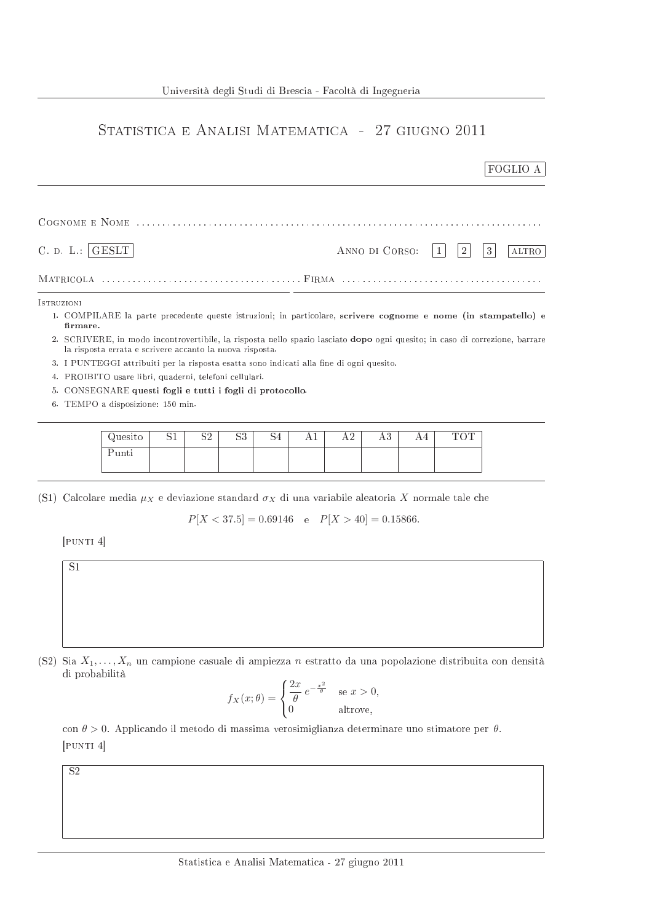## STATISTICA E ANALISI MATEMATICA - 27 GIUGNO 2011

|                                                                                          | FOGLIO A                                                                                                                           |
|------------------------------------------------------------------------------------------|------------------------------------------------------------------------------------------------------------------------------------|
|                                                                                          |                                                                                                                                    |
| C. D. L.:<br>$ {\rm{\,GESLT}} $                                                          | ANNO DI CORSO:<br>$\overline{2}$<br>3<br>ALTRO                                                                                     |
|                                                                                          |                                                                                                                                    |
| <b>ISTRUZIONI</b>                                                                        | 1. COMPILARE la parte precedente queste istruzioni; in particolare, scrivere cognome e nome (in stampatello) e                     |
| firmare.<br>la risposta errata e scrivere accanto la nuova risposta.                     | 2. SCRIVERE, in modo incontrovertibile, la risposta nello spazio lasciato <b>dopo</b> ogni quesito; in caso di correzione, barrare |
| 3. I PUNTEGGI attribuiti per la risposta esatta sono indicati alla fine di ogni quesito. |                                                                                                                                    |
| 4. PROIBITO usare libri, quaderni, telefoni cellulari.                                   |                                                                                                                                    |
| 5. CONSEGNARE questi fogli e tutti i fogli di protocollo.                                |                                                                                                                                    |

6. TEMPO a disposizione: 150 min.

| Quesito | ◡∸ | ിവ<br>ے ت | റപ<br>ມປ | ЮĦ | 77 T | . | $\Omega$<br>ΠU | $\cap$ $\Box$<br>◡ |
|---------|----|-----------|----------|----|------|---|----------------|--------------------|
| unti    |    |           |          |    |      |   |                |                    |

(S1) Calcolare media  $\mu_X$  e deviazione standard  $\sigma_X$  di una variabile aleatoria X normale tale che

 $P[X < 37.5] = 0.69146$  e  $P[X > 40] = 0.15866$ .

 $[$ PUNTI $4]$ 



(S2) Sia  $X_1, \ldots, X_n$  un campione casuale di ampiezza n estratto da una popolazione distribuita con densità di probabilità

$$
f_X(x; \theta) = \begin{cases} \frac{2x}{\theta} e^{-\frac{x^2}{\theta}} & \text{se } x > 0, \\ 0 & \text{altrove,} \end{cases}
$$

con  $\theta > 0$ . Applicando il metodo di massima verosimiglianza determinare uno stimatore per  $\theta$ .  $[$ PUNTI $4]$ 

 $\overline{S2}$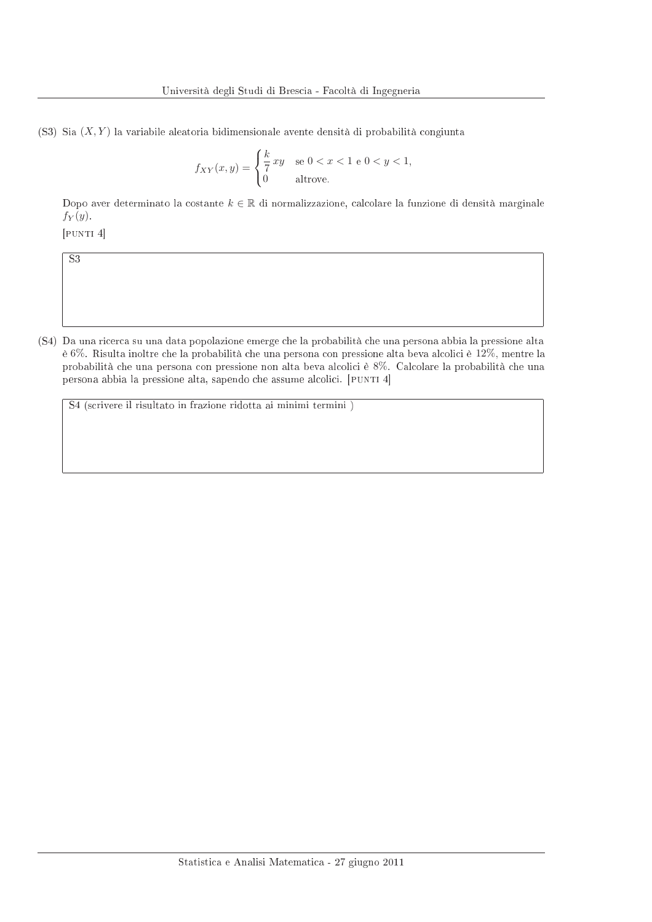(S3) Sia  $(X, Y)$  la variabile aleatoria bidimensionale avente densità di probabilità congiunta

$$
f_{XY}(x,y) = \begin{cases} \frac{k}{7}xy & \text{se } 0 < x < 1 \text{ e } 0 < y < 1, \\ 0 & \text{altrove.} \end{cases}
$$

Dopo aver determinato la costante  $k \in \mathbb{R}$  di normalizzazione, calcolare la funzione di densità marginale  $f_Y(y)$ .

 $[$ PUNTI $4]$ 

 $\overline{S3}$ 

(S4) Da una ricerca su una data popolazione emerge che la probabilità che una persona abbia la pressione alta è 6%. Risulta inoltre che la probabilità che una persona con pressione alta beva alcolici è 12%, mentre la probabilità che una persona con pressione non alta beva alcolici è 8%. Calcolare la probabilità che una persona abbia la pressione alta, sapendo che assume alcolici. [PUNTI 4]

S4 (scrivere il risultato in frazione ridotta ai minimi termini)